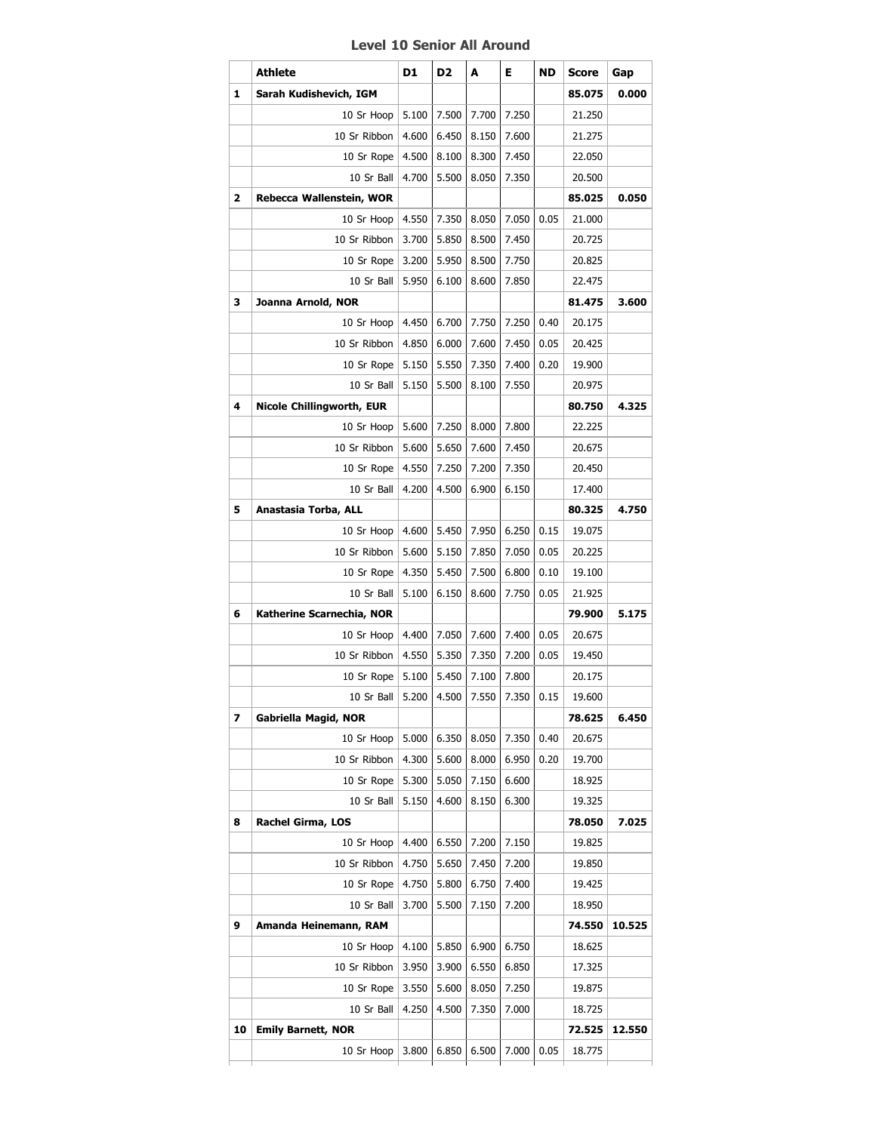## **Level 10 Senior All Around**

|    | <b>Athlete</b>                   | D1    | D <sub>2</sub> | A     | Е          | ND   | Score  | Gap    |
|----|----------------------------------|-------|----------------|-------|------------|------|--------|--------|
| 1  | Sarah Kudishevich, IGM           |       |                |       |            |      | 85.075 | 0.000  |
|    | 10 Sr Hoop                       | 5.100 | 7.500          | 7.700 | 7.250      |      | 21.250 |        |
|    | 10 Sr Ribbon                     | 4.600 | 6.450          | 8.150 | 7.600      |      | 21.275 |        |
|    | 10 Sr Rope                       | 4.500 | 8.100          | 8.300 | 7.450      |      | 22.050 |        |
|    | 10 Sr Ball                       | 4.700 | 5.500          | 8.050 | 7.350      |      | 20.500 |        |
| 2  | Rebecca Wallenstein, WOR         |       |                |       |            |      | 85.025 | 0.050  |
|    | 10 Sr Hoop                       | 4.550 | 7.350          | 8.050 | 7.050      | 0.05 | 21.000 |        |
|    | 10 Sr Ribbon                     | 3.700 | 5.850          | 8.500 | 7.450      |      | 20.725 |        |
|    | 10 Sr Rope                       | 3.200 | 5.950          | 8.500 | 7.750      |      | 20.825 |        |
|    | 10 Sr Ball                       | 5.950 | 6.100          | 8.600 | 7.850      |      | 22.475 |        |
| 3  | Joanna Arnold, NOR               |       |                |       |            |      | 81.475 | 3.600  |
|    | 10 Sr Hoop                       | 4.450 | 6.700          | 7.750 | 7.250      | 0.40 | 20.175 |        |
|    | 10 Sr Ribbon                     | 4.850 | 6.000          | 7.600 | 7.450      | 0.05 | 20.425 |        |
|    | 10 Sr Rope                       | 5.150 | 5.550          | 7.350 | 7.400      | 0.20 | 19.900 |        |
|    | 10 Sr Ball                       | 5.150 | 5.500          | 8.100 | 7.550      |      | 20.975 |        |
| 4  | <b>Nicole Chillingworth, EUR</b> |       |                |       |            |      | 80.750 | 4.325  |
|    | 10 Sr Hoop                       | 5.600 | 7.250          | 8.000 | 7.800      |      | 22.225 |        |
|    | 10 Sr Ribbon                     | 5.600 | 5.650          | 7.600 | 7.450      |      | 20.675 |        |
|    | 10 Sr Rope                       | 4.550 | 7.250          | 7.200 | 7.350      |      | 20.450 |        |
|    | 10 Sr Ball                       | 4.200 | 4.500          | 6.900 | 6.150      |      | 17.400 |        |
| 5  | Anastasia Torba, ALL             |       |                |       |            |      | 80.325 | 4.750  |
|    | 10 Sr Hoop                       | 4.600 | 5.450          | 7.950 | 6.250      | 0.15 | 19.075 |        |
|    | 10 Sr Ribbon                     | 5.600 | 5.150          | 7.850 | 7.050      | 0.05 | 20.225 |        |
|    | 10 Sr Rope                       | 4.350 | 5.450          | 7.500 | 6.800      | 0.10 | 19.100 |        |
|    | 10 Sr Ball                       | 5.100 | 6.150          | 8.600 | 7.750      | 0.05 | 21.925 |        |
| 6  | Katherine Scarnechia, NOR        |       |                |       |            |      | 79.900 | 5.175  |
|    | 10 Sr Hoop                       | 4.400 | 7.050          | 7.600 | 7.400      | 0.05 | 20.675 |        |
|    | 10 Sr Ribbon                     | 4.550 | 5.350          | 7.350 | 7.200      | 0.05 | 19.450 |        |
|    | 10 Sr Rope                       | 5.100 | 5.450          | 7.100 | 7.800      |      | 20.175 |        |
|    | 10 Sr Ball                       | 5.200 | 4.500          | 7.550 | 7.350 0.15 |      | 19.600 |        |
| 7  | Gabriella Magid, NOR             |       |                |       |            |      | 78.625 | 6.450  |
|    | 10 Sr Hoop                       | 5.000 | 6.350          | 8.050 | 7.350      | 0.40 | 20.675 |        |
|    | 10 Sr Ribbon                     | 4.300 | 5.600          | 8.000 | 6.950      | 0.20 | 19.700 |        |
|    | 10 Sr Rope                       | 5.300 | 5.050          | 7.150 | 6.600      |      | 18.925 |        |
|    | 10 Sr Ball                       | 5.150 | 4.600          | 8.150 | 6.300      |      | 19.325 |        |
| 8  | Rachel Girma, LOS                |       |                |       |            |      | 78.050 | 7.025  |
|    | 10 Sr Hoop                       | 4.400 | 6.550          | 7.200 | 7.150      |      | 19.825 |        |
|    | 10 Sr Ribbon                     | 4.750 | 5.650          | 7.450 | 7.200      |      | 19.850 |        |
|    | 10 Sr Rope                       | 4.750 | 5.800          | 6.750 | 7.400      |      | 19.425 |        |
|    | 10 Sr Ball                       | 3.700 | 5.500          | 7.150 | 7.200      |      | 18.950 |        |
| 9  | Amanda Heinemann, RAM            |       |                |       |            |      | 74.550 | 10.525 |
|    | 10 Sr Hoop                       | 4.100 | 5.850          | 6.900 | 6.750      |      | 18.625 |        |
|    | 10 Sr Ribbon                     | 3.950 | 3.900          | 6.550 | 6.850      |      | 17.325 |        |
|    | 10 Sr Rope                       | 3.550 | 5.600          | 8.050 | 7.250      |      | 19.875 |        |
|    |                                  |       |                |       |            |      |        |        |
|    | 10 Sr Ball                       | 4.250 | 4.500          | 7.350 | 7.000      |      | 18.725 |        |
| 10 | <b>Emily Barnett, NOR</b>        |       |                |       |            |      | 72.525 | 12.550 |